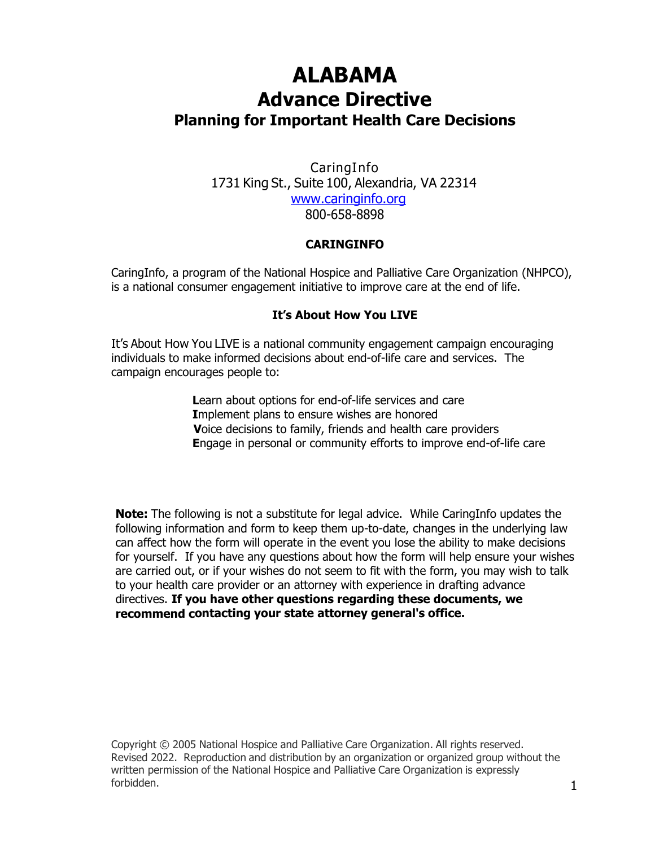# **ALABAMA Advance Directive Planning for Important Health Care Decisions**

CaringInfo 1731 King St., Suite 100, Alexandria, VA 22314 [www.caringinfo.org](http://www.caringinfo.org/) 800-658-8898

#### **CARINGINFO**

CaringInfo, a program of the National Hospice and Palliative Care Organization (NHPCO), is a national consumer engagement initiative to improve care at the end of life.

#### **It's About How You LIVE**

It's About How You LIVE is a national community engagement campaign encouraging individuals to make informed decisions about end-of-life care and services. The campaign encourages people to:

> **L**earn about options for end-of-life services and care **I**mplement plans to ensure wishes are honored **V**oice decisions to family, friends and health care providers **E**ngage in personal or community efforts to improve end-of-life care

**Note:** The following is not a substitute for legal advice. While CaringInfo updates the following information and form to keep them up-to-date, changes in the underlying law can affect how the form will operate in the event you lose the ability to make decisions for yourself. If you have any questions about how the form will help ensure your wishes are carried out, or if your wishes do not seem to fit with the form, you may wish to talk to your health care provider or an attorney with experience in drafting advance directives. **If you have other questions regarding these documents, we recommend contacting your state attorney general's office.**

Copyright © 2005 National Hospice and Palliative Care Organization. All rights reserved. Revised 2022. Reproduction and distribution by an organization or organized group without the written permission of the National Hospice and Palliative Care Organization is expressly forbidden.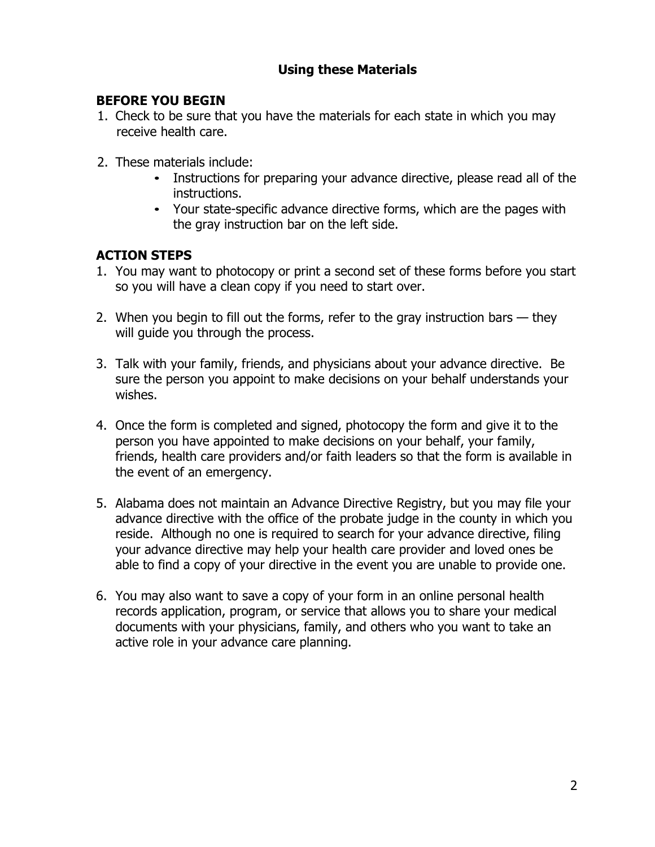## **Using these Materials**

### **BEFORE YOU BEGIN**

- 1. Check to be sure that you have the materials for each state in which you may receive health care.
- 2. These materials include:
	- Instructions for preparing your advance directive, please read all of the instructions.
	- Your state-specific advance directive forms, which are the pages with the gray instruction bar on the left side.

## **ACTION STEPS**

- 1. You may want to photocopy or print a second set of these forms before you start so you will have a clean copy if you need to start over.
- 2. When you begin to fill out the forms, refer to the gray instruction bars they will guide you through the process.
- 3. Talk with your family, friends, and physicians about your advance directive. Be sure the person you appoint to make decisions on your behalf understands your wishes.
- 4. Once the form is completed and signed, photocopy the form and give it to the person you have appointed to make decisions on your behalf, your family, friends, health care providers and/or faith leaders so that the form is available in the event of an emergency.
- 5. Alabama does not maintain an Advance Directive Registry, but you may file your advance directive with the office of the probate judge in the county in which you reside. Although no one is required to search for your advance directive, filing your advance directive may help your health care provider and loved ones be able to find a copy of your directive in the event you are unable to provide one.
- 6. You may also want to save a copy of your form in an online personal health records application, program, or service that allows you to share your medical documents with your physicians, family, and others who you want to take an active role in your advance care planning.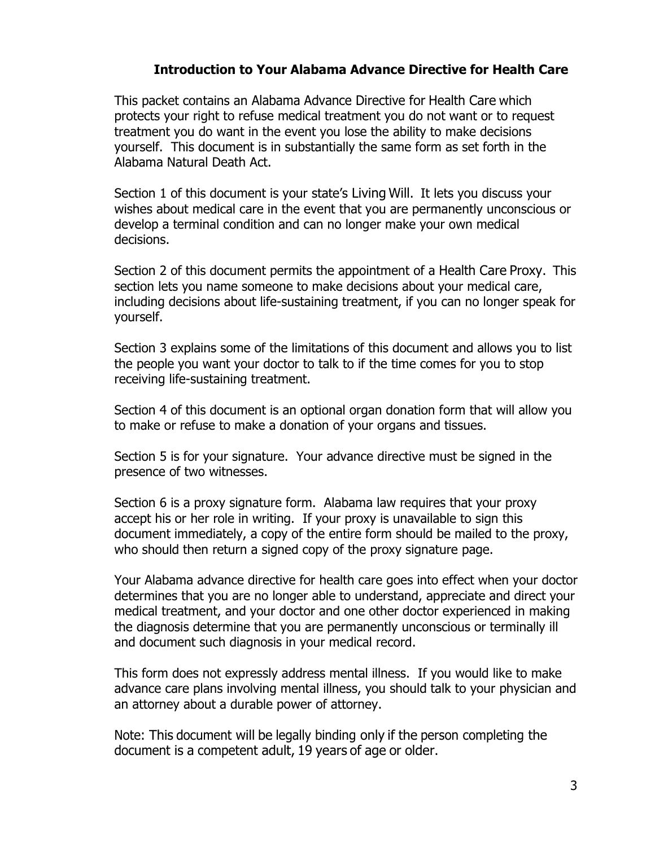#### **Introduction to Your Alabama Advance Directive for Health Care**

This packet contains an Alabama Advance Directive for Health Care which protects your right to refuse medical treatment you do not want or to request treatment you do want in the event you lose the ability to make decisions yourself. This document is in substantially the same form as set forth in the Alabama Natural Death Act.

Section 1 of this document is your state's Living Will. It lets you discuss your wishes about medical care in the event that you are permanently unconscious or develop a terminal condition and can no longer make your own medical decisions.

Section 2 of this document permits the appointment of a Health Care Proxy. This section lets you name someone to make decisions about your medical care, including decisions about life-sustaining treatment, if you can no longer speak for yourself.

Section 3 explains some of the limitations of this document and allows you to list the people you want your doctor to talk to if the time comes for you to stop receiving life-sustaining treatment.

Section 4 of this document is an optional organ donation form that will allow you to make or refuse to make a donation of your organs and tissues.

Section 5 is for your signature. Your advance directive must be signed in the presence of two witnesses.

Section 6 is a proxy signature form. Alabama law requires that your proxy accept his or her role in writing. If your proxy is unavailable to sign this document immediately, a copy of the entire form should be mailed to the proxy, who should then return a signed copy of the proxy signature page.

Your Alabama advance directive for health care goes into effect when your doctor determines that you are no longer able to understand, appreciate and direct your medical treatment, and your doctor and one other doctor experienced in making the diagnosis determine that you are permanently unconscious or terminally ill and document such diagnosis in your medical record.

This form does not expressly address mental illness. If you would like to make advance care plans involving mental illness, you should talk to your physician and an attorney about a durable power of attorney.

Note: This document will be legally binding only if the person completing the document is a competent adult, 19 years of age or older.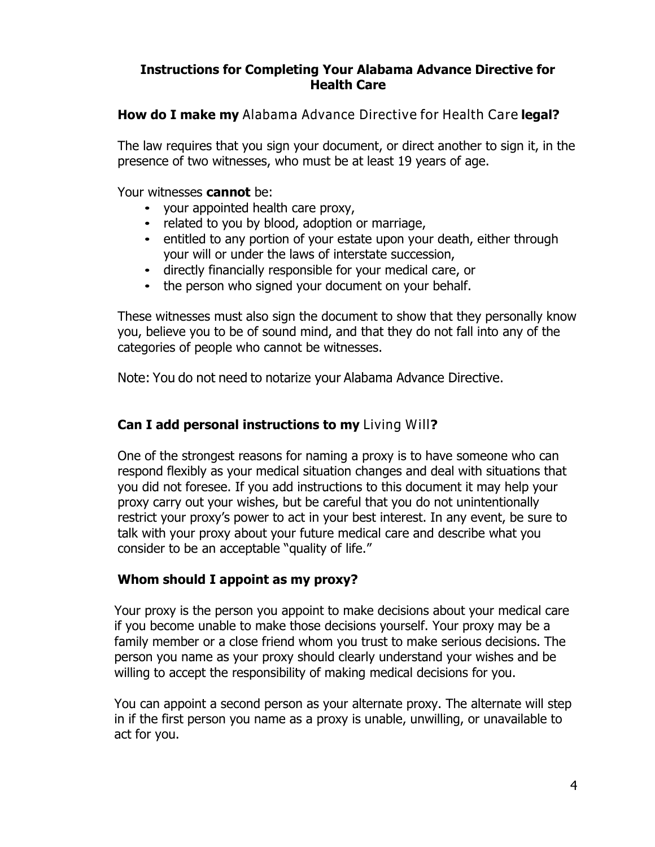### **Instructions for Completing Your Alabama Advance Directive for Health Care**

**How do I make my** Alabama Advance Directive for Health Care **legal?** 

The law requires that you sign your document, or direct another to sign it, in the presence of two witnesses, who must be at least 19 years of age.

Your witnesses **cannot** be:

- your appointed health care proxy,
- related to you by blood, adoption or marriage,
- entitled to any portion of your estate upon your death, either through your will or under the laws of interstate succession,
- directly financially responsible for your medical care, or
- the person who signed your document on your behalf.

These witnesses must also sign the document to show that they personally know you, believe you to be of sound mind, and that they do not fall into any of the categories of people who cannot be witnesses.

Note: You do not need to notarize your Alabama Advance Directive.

# **Can I add personal instructions to my** Living Will?

One of the strongest reasons for naming a proxy is to have someone who can respond flexibly as your medical situation changes and deal with situations that you did not foresee. If you add instructions to this document it may help your proxy carry out your wishes, but be careful that you do not unintentionally restrict your proxy's power to act in your best interest. In any event, be sure to talk with your proxy about your future medical care and describe what you consider to be an acceptable "quality of life."

# **Whom should I appoint as my proxy?**

Your proxy is the person you appoint to make decisions about your medical care if you become unable to make those decisions yourself. Your proxy may be a family member or a close friend whom you trust to make serious decisions. The person you name as your proxy should clearly understand your wishes and be willing to accept the responsibility of making medical decisions for you.

You can appoint a second person as your alternate proxy. The alternate will step in if the first person you name as a proxy is unable, unwilling, or unavailable to act for you.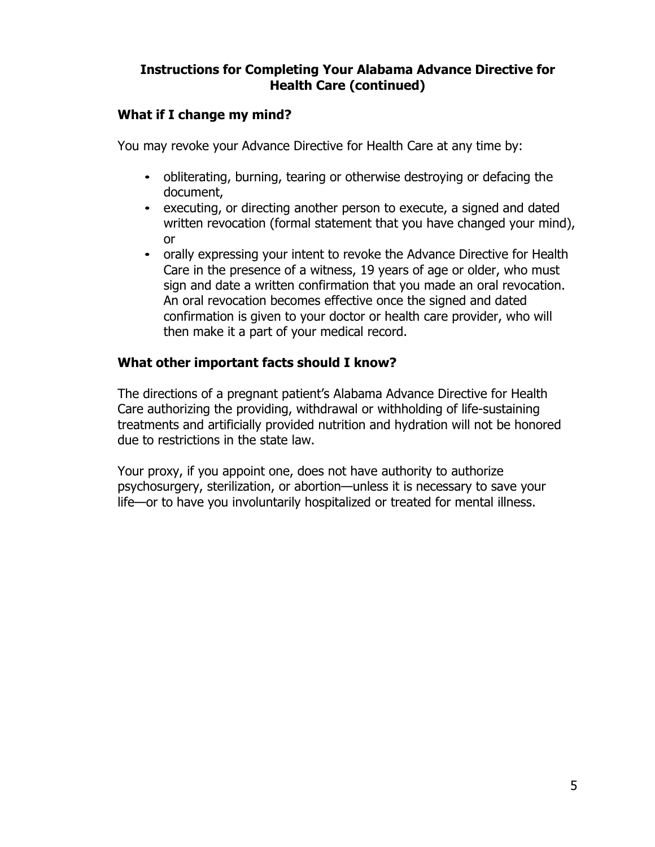## **Instructions for Completing Your Alabama Advance Directive for Health Care (continued)**

### **What if I change my mind?**

You may revoke your Advance Directive for Health Care at any time by:

- obliterating, burning, tearing or otherwise destroying or defacing the document,
- executing, or directing another person to execute, a signed and dated written revocation (formal statement that you have changed your mind), or
- orally expressing your intent to revoke the Advance Directive for Health Care in the presence of a witness, 19 years of age or older, who must sign and date a written confirmation that you made an oral revocation. An oral revocation becomes effective once the signed and dated confirmation is given to your doctor or health care provider, who will then make it a part of your medical record.

### **What other important facts should I know?**

The directions of a pregnant patient's Alabama Advance Directive for Health Care authorizing the providing, withdrawal or withholding of life-sustaining treatments and artificially provided nutrition and hydration will not be honored due to restrictions in the state law.

Your proxy, if you appoint one, does not have authority to authorize psychosurgery, sterilization, or abortion—unless it is necessary to save your life—or to have you involuntarily hospitalized or treated for mental illness.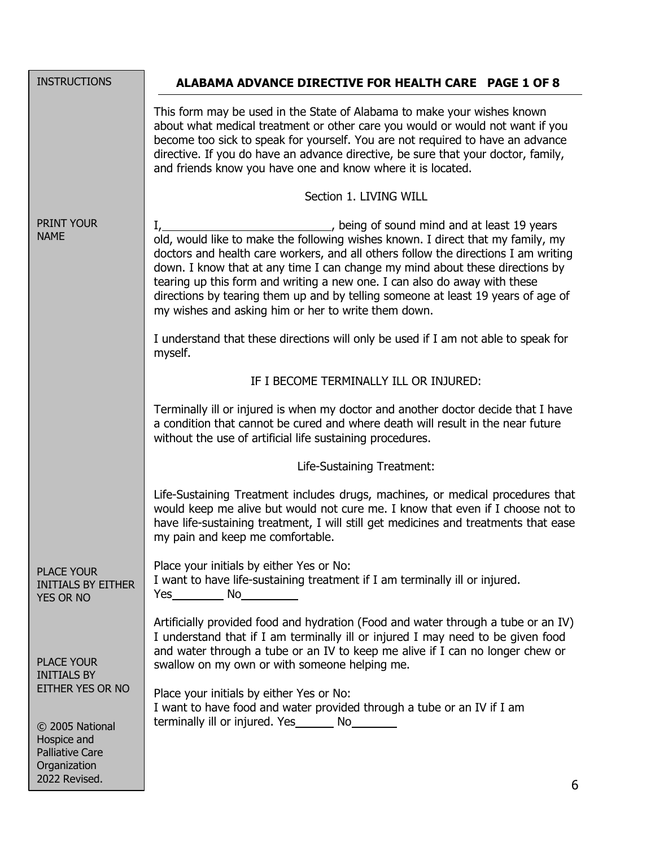| <b>INSTRUCTIONS</b>                                                                                                                                      | ALABAMA ADVANCE DIRECTIVE FOR HEALTH CARE PAGE 1 OF 8                                                                                                                                                                                                                                                                                                                                                                                                                                                                                                             |
|----------------------------------------------------------------------------------------------------------------------------------------------------------|-------------------------------------------------------------------------------------------------------------------------------------------------------------------------------------------------------------------------------------------------------------------------------------------------------------------------------------------------------------------------------------------------------------------------------------------------------------------------------------------------------------------------------------------------------------------|
|                                                                                                                                                          | This form may be used in the State of Alabama to make your wishes known<br>about what medical treatment or other care you would or would not want if you<br>become too sick to speak for yourself. You are not required to have an advance<br>directive. If you do have an advance directive, be sure that your doctor, family,<br>and friends know you have one and know where it is located.                                                                                                                                                                    |
|                                                                                                                                                          | Section 1. LIVING WILL                                                                                                                                                                                                                                                                                                                                                                                                                                                                                                                                            |
| PRINT YOUR<br><b>NAME</b>                                                                                                                                | I, 1. All 19 years (19) and the same summary of sound mind and at least 19 years<br>old, would like to make the following wishes known. I direct that my family, my<br>doctors and health care workers, and all others follow the directions I am writing<br>down. I know that at any time I can change my mind about these directions by<br>tearing up this form and writing a new one. I can also do away with these<br>directions by tearing them up and by telling someone at least 19 years of age of<br>my wishes and asking him or her to write them down. |
|                                                                                                                                                          | I understand that these directions will only be used if I am not able to speak for<br>myself.                                                                                                                                                                                                                                                                                                                                                                                                                                                                     |
|                                                                                                                                                          | IF I BECOME TERMINALLY ILL OR INJURED:                                                                                                                                                                                                                                                                                                                                                                                                                                                                                                                            |
|                                                                                                                                                          | Terminally ill or injured is when my doctor and another doctor decide that I have<br>a condition that cannot be cured and where death will result in the near future<br>without the use of artificial life sustaining procedures.                                                                                                                                                                                                                                                                                                                                 |
|                                                                                                                                                          | Life-Sustaining Treatment:                                                                                                                                                                                                                                                                                                                                                                                                                                                                                                                                        |
|                                                                                                                                                          | Life-Sustaining Treatment includes drugs, machines, or medical procedures that<br>would keep me alive but would not cure me. I know that even if I choose not to<br>have life-sustaining treatment, I will still get medicines and treatments that ease<br>my pain and keep me comfortable.                                                                                                                                                                                                                                                                       |
| <b>PLACE YOUR</b><br><b>INITIALS BY EITHER</b><br><b>YES OR NO</b>                                                                                       | Place your initials by either Yes or No:<br>I want to have life-sustaining treatment if I am terminally ill or injured.<br>$Yes$ No $\qquad \qquad$ No $\qquad \qquad$                                                                                                                                                                                                                                                                                                                                                                                            |
| <b>PLACE YOUR</b><br><b>INITIALS BY</b><br>EITHER YES OR NO<br>© 2005 National<br>Hospice and<br><b>Palliative Care</b><br>Organization<br>2022 Revised. | Artificially provided food and hydration (Food and water through a tube or an IV)<br>I understand that if I am terminally ill or injured I may need to be given food<br>and water through a tube or an IV to keep me alive if I can no longer chew or<br>swallow on my own or with someone helping me.                                                                                                                                                                                                                                                            |
|                                                                                                                                                          | Place your initials by either Yes or No:<br>I want to have food and water provided through a tube or an IV if I am<br>terminally ill or injured. Yes _________ No_________<br>6.                                                                                                                                                                                                                                                                                                                                                                                  |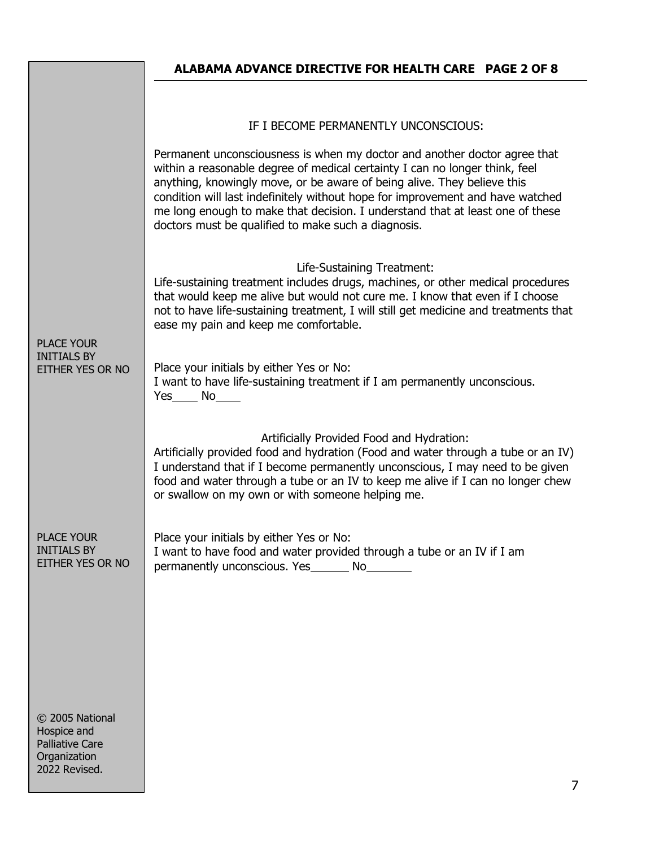# **ALABAMA ADVANCE DIRECTIVE FOR HEALTH CARE PAGE 2 OF 8** IF I BECOME PERMANENTLY UNCONSCIOUS: Permanent unconsciousness is when my doctor and another doctor agree that within a reasonable degree of medical certainty I can no longer think, feel anything, knowingly move, or be aware of being alive. They believe this condition will last indefinitely without hope for improvement and have watched me long enough to make that decision. I understand that at least one of these doctors must be qualified to make such a diagnosis. PLACE YOUR INITIALS BY EITHER YES OR NO Life-Sustaining Treatment: Life-sustaining treatment includes drugs, machines, or other medical procedures that would keep me alive but would not cure me. I know that even if I choose not to have life-sustaining treatment, I will still get medicine and treatments that ease my pain and keep me comfortable. Place your initials by either Yes or No: I want to have life-sustaining treatment if I am permanently unconscious. Yes No Artificially Provided Food and Hydration: Artificially provided food and hydration (Food and water through a tube or an IV) I understand that if I become permanently unconscious, I may need to be given food and water through a tube or an IV to keep me alive if I can no longer chew or swallow on my own or with someone helping me. PLACE YOUR INITIALS BY EITHER YES OR NO © 2005 National Hospice and Place your initials by either Yes or No: I want to have food and water provided through a tube or an IV if I am permanently unconscious. Yes No

Palliative Care **Organization** 2022 Revised.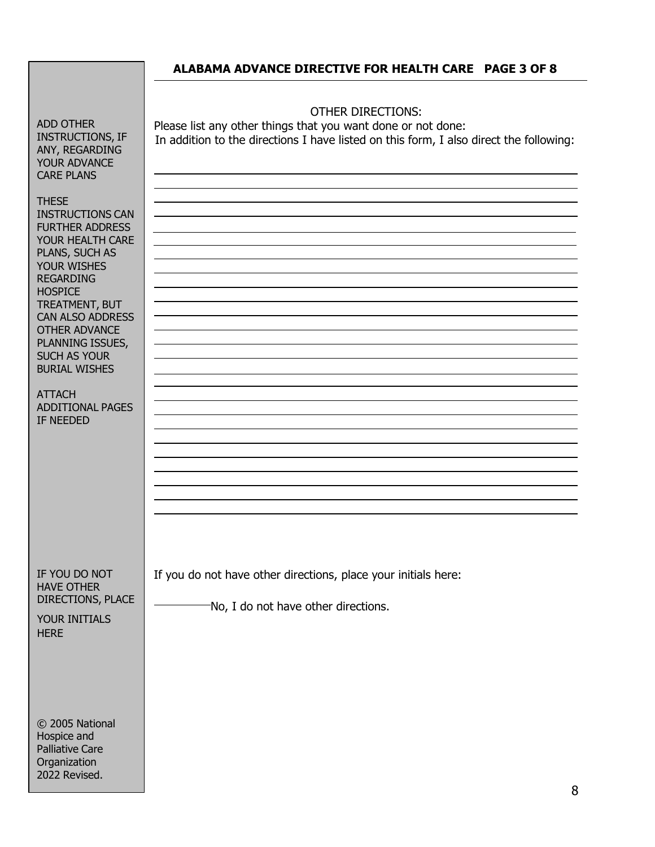OTHER DIRECTIONS: Please list any other things that you want done or not done: In addition to the directions I have listed on this form, I also direct the following:

ADD OTHER INSTRUCTIONS, IF ANY, REGARDING YOUR ADVANCE CARE PLANS

**THESE** INSTRUCTIONS CAN FURTHER ADDRESS YOUR HEALTH CARE PLANS, SUCH AS YOUR WISHES REGARDING **HOSPICE** TREATMENT, BUT CAN ALSO ADDRESS OTHER ADVANCE PLANNING ISSUES, SUCH AS YOUR BURIAL WISHES

ATTACH ADDITIONAL PAGES IF NEEDED

If you do not have other directions, place your initials here:

No, I do not have other directions.

DIRECTIONS, PLACE YOUR INITIALS **HFRF** 

IF YOU DO NOT HAVE OTHER

© 2005 National Hospice and Palliative Care **Organization** 2022 Revised.

8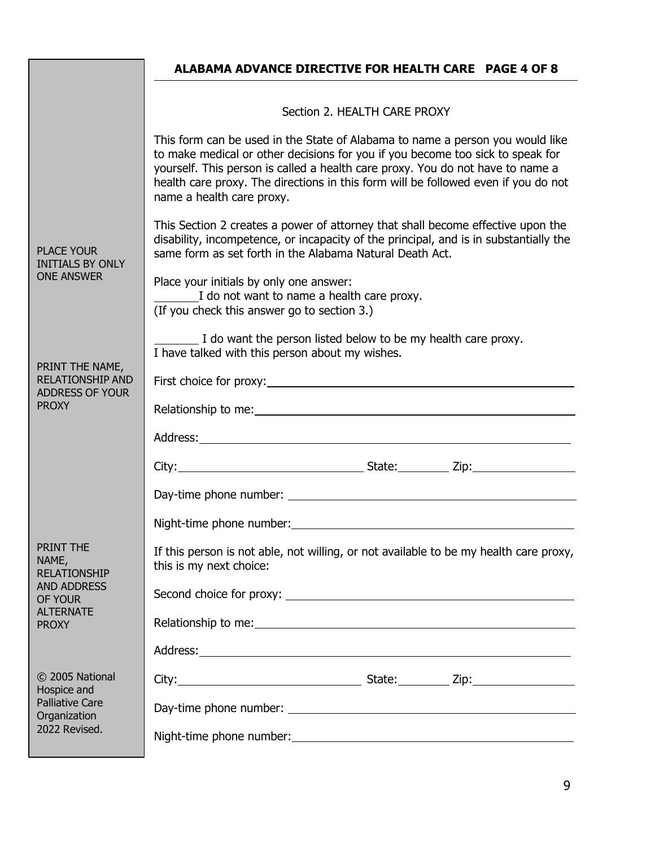|                                                                                           | ALABAMA ADVANCE DIRECTIVE FOR HEALTH CARE PAGE 4 OF 8                                                                                                                                                                                                                                                                                                                |
|-------------------------------------------------------------------------------------------|----------------------------------------------------------------------------------------------------------------------------------------------------------------------------------------------------------------------------------------------------------------------------------------------------------------------------------------------------------------------|
|                                                                                           |                                                                                                                                                                                                                                                                                                                                                                      |
|                                                                                           | Section 2. HEALTH CARE PROXY                                                                                                                                                                                                                                                                                                                                         |
|                                                                                           | This form can be used in the State of Alabama to name a person you would like<br>to make medical or other decisions for you if you become too sick to speak for<br>yourself. This person is called a health care proxy. You do not have to name a<br>health care proxy. The directions in this form will be followed even if you do not<br>name a health care proxy. |
| <b>PLACE YOUR</b><br><b>INITIALS BY ONLY</b><br><b>ONE ANSWER</b>                         | This Section 2 creates a power of attorney that shall become effective upon the<br>disability, incompetence, or incapacity of the principal, and is in substantially the<br>same form as set forth in the Alabama Natural Death Act.                                                                                                                                 |
|                                                                                           | Place your initials by only one answer:<br>I do not want to name a health care proxy.<br>(If you check this answer go to section 3.)                                                                                                                                                                                                                                 |
|                                                                                           | I do want the person listed below to be my health care proxy.<br>I have talked with this person about my wishes.                                                                                                                                                                                                                                                     |
| PRINT THE NAME,<br><b>RELATIONSHIP AND</b>                                                |                                                                                                                                                                                                                                                                                                                                                                      |
| ADDRESS OF YOUR<br><b>PROXY</b>                                                           |                                                                                                                                                                                                                                                                                                                                                                      |
|                                                                                           |                                                                                                                                                                                                                                                                                                                                                                      |
|                                                                                           |                                                                                                                                                                                                                                                                                                                                                                      |
|                                                                                           |                                                                                                                                                                                                                                                                                                                                                                      |
|                                                                                           | Night-time phone number:                                                                                                                                                                                                                                                                                                                                             |
| PRINT THE<br>NAME,<br><b>RELATIONSHIP</b>                                                 | If this person is not able, not willing, or not available to be my health care proxy,<br>this is my next choice:                                                                                                                                                                                                                                                     |
| <b>AND ADDRESS</b><br>OF YOUR                                                             |                                                                                                                                                                                                                                                                                                                                                                      |
| <b>ALTERNATE</b><br><b>PROXY</b>                                                          |                                                                                                                                                                                                                                                                                                                                                                      |
|                                                                                           |                                                                                                                                                                                                                                                                                                                                                                      |
| © 2005 National<br>Hospice and<br><b>Palliative Care</b><br>Organization<br>2022 Revised. |                                                                                                                                                                                                                                                                                                                                                                      |
|                                                                                           |                                                                                                                                                                                                                                                                                                                                                                      |
|                                                                                           |                                                                                                                                                                                                                                                                                                                                                                      |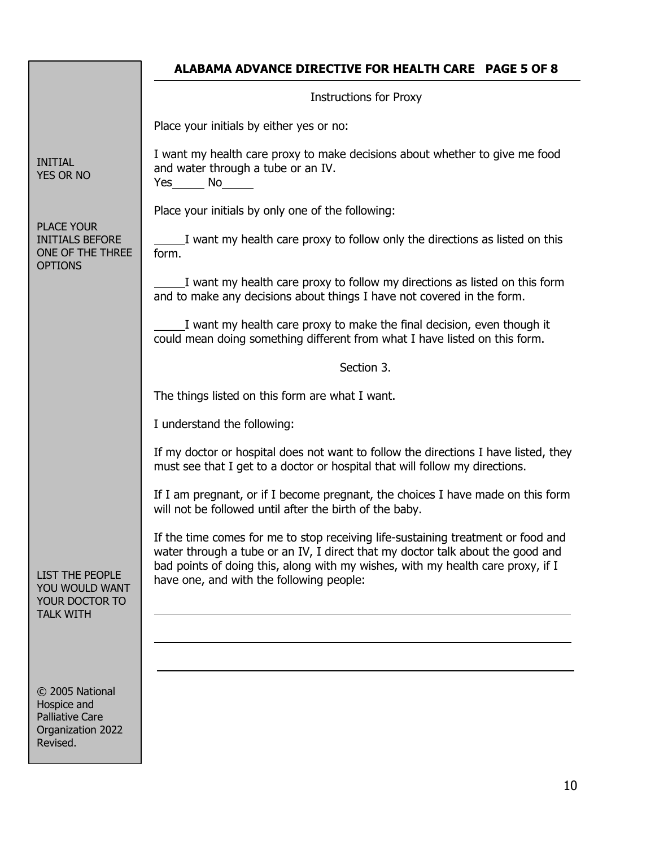|                                                                                           | <b>ALABAMA ADVANCE DIRECTIVE FOR HEALTH CARE PAGE 5 OF 8</b>                                                                                                                                                                                                                                      |  |  |
|-------------------------------------------------------------------------------------------|---------------------------------------------------------------------------------------------------------------------------------------------------------------------------------------------------------------------------------------------------------------------------------------------------|--|--|
|                                                                                           | <b>Instructions for Proxy</b>                                                                                                                                                                                                                                                                     |  |  |
|                                                                                           | Place your initials by either yes or no:                                                                                                                                                                                                                                                          |  |  |
| <b>INITIAL</b><br><b>YES OR NO</b>                                                        | I want my health care proxy to make decisions about whether to give me food<br>and water through a tube or an IV.<br>$Yes$ No $No$                                                                                                                                                                |  |  |
|                                                                                           | Place your initials by only one of the following:                                                                                                                                                                                                                                                 |  |  |
| <b>PLACE YOUR</b><br><b>INITIALS BEFORE</b><br>ONE OF THE THREE<br><b>OPTIONS</b>         | I want my health care proxy to follow only the directions as listed on this<br>form.                                                                                                                                                                                                              |  |  |
|                                                                                           | I want my health care proxy to follow my directions as listed on this form<br>and to make any decisions about things I have not covered in the form.                                                                                                                                              |  |  |
|                                                                                           | I want my health care proxy to make the final decision, even though it<br>could mean doing something different from what I have listed on this form.                                                                                                                                              |  |  |
|                                                                                           | Section 3.                                                                                                                                                                                                                                                                                        |  |  |
|                                                                                           | The things listed on this form are what I want.                                                                                                                                                                                                                                                   |  |  |
|                                                                                           | I understand the following:                                                                                                                                                                                                                                                                       |  |  |
|                                                                                           | If my doctor or hospital does not want to follow the directions I have listed, they<br>must see that I get to a doctor or hospital that will follow my directions.                                                                                                                                |  |  |
| <b>LIST THE PEOPLE</b><br>YOU WOULD WANT<br>YOUR DOCTOR TO<br><b>TALK WITH</b>            | If I am pregnant, or if I become pregnant, the choices I have made on this form<br>will not be followed until after the birth of the baby.                                                                                                                                                        |  |  |
|                                                                                           | If the time comes for me to stop receiving life-sustaining treatment or food and<br>water through a tube or an IV, I direct that my doctor talk about the good and<br>bad points of doing this, along with my wishes, with my health care proxy, if I<br>have one, and with the following people: |  |  |
|                                                                                           |                                                                                                                                                                                                                                                                                                   |  |  |
|                                                                                           |                                                                                                                                                                                                                                                                                                   |  |  |
| © 2005 National<br>Hospice and<br><b>Palliative Care</b><br>Organization 2022<br>Revised. |                                                                                                                                                                                                                                                                                                   |  |  |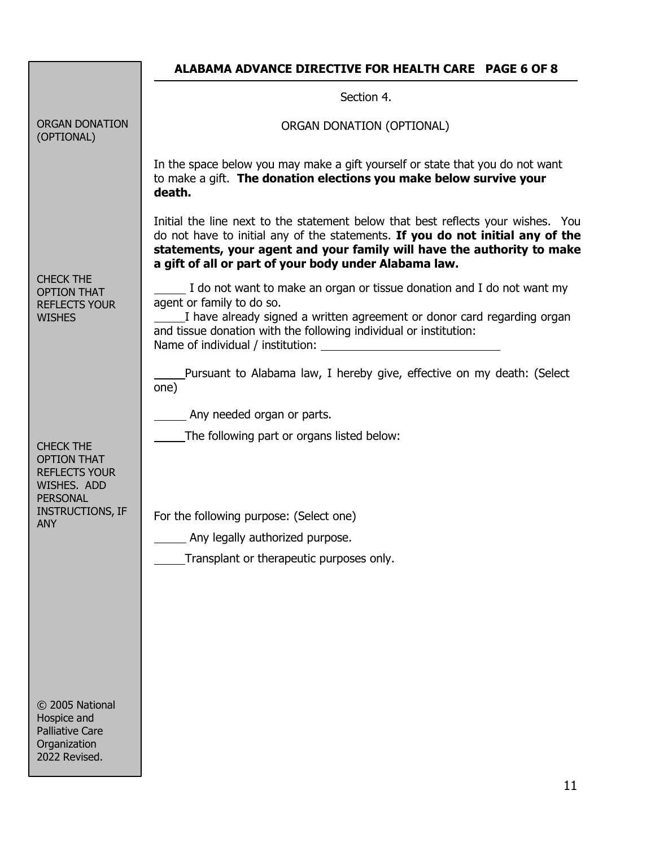## **ALABAMA ADVANCE DIRECTIVE FOR HEALTH CARE PAGE 6 OF 8**

|                                                                                                  | Section 4.                                                                                                                                                                                                                                                                                            |
|--------------------------------------------------------------------------------------------------|-------------------------------------------------------------------------------------------------------------------------------------------------------------------------------------------------------------------------------------------------------------------------------------------------------|
| <b>ORGAN DONATION</b><br>(OPTIONAL)                                                              | ORGAN DONATION (OPTIONAL)                                                                                                                                                                                                                                                                             |
|                                                                                                  | In the space below you may make a gift yourself or state that you do not want<br>to make a gift. The donation elections you make below survive your<br>death.                                                                                                                                         |
| <b>CHECK THE</b><br><b>OPTION THAT</b><br><b>REFLECTS YOUR</b><br><b>WISHES</b>                  | Initial the line next to the statement below that best reflects your wishes. You<br>do not have to initial any of the statements. If you do not initial any of the<br>statements, your agent and your family will have the authority to make<br>a gift of all or part of your body under Alabama law. |
|                                                                                                  | I do not want to make an organ or tissue donation and I do not want my<br>agent or family to do so.<br>I have already signed a written agreement or donor card regarding organ<br>and tissue donation with the following individual or institution:<br>Name of individual / institution:              |
|                                                                                                  | Pursuant to Alabama law, I hereby give, effective on my death: (Select<br>one)                                                                                                                                                                                                                        |
|                                                                                                  | Any needed organ or parts.                                                                                                                                                                                                                                                                            |
| <b>CHECK THE</b><br><b>OPTION THAT</b><br><b>REFLECTS YOUR</b><br>WISHES. ADD<br><b>PERSONAL</b> | The following part or organs listed below:                                                                                                                                                                                                                                                            |
| <b>INSTRUCTIONS, IF</b><br><b>ANY</b>                                                            | For the following purpose: (Select one)                                                                                                                                                                                                                                                               |
|                                                                                                  | Any legally authorized purpose.                                                                                                                                                                                                                                                                       |
|                                                                                                  | Transplant or therapeutic purposes only.                                                                                                                                                                                                                                                              |
|                                                                                                  |                                                                                                                                                                                                                                                                                                       |
| © 2005 National<br>Hospice and<br><b>Palliative Care</b><br>Organization<br>2022 Revised.        |                                                                                                                                                                                                                                                                                                       |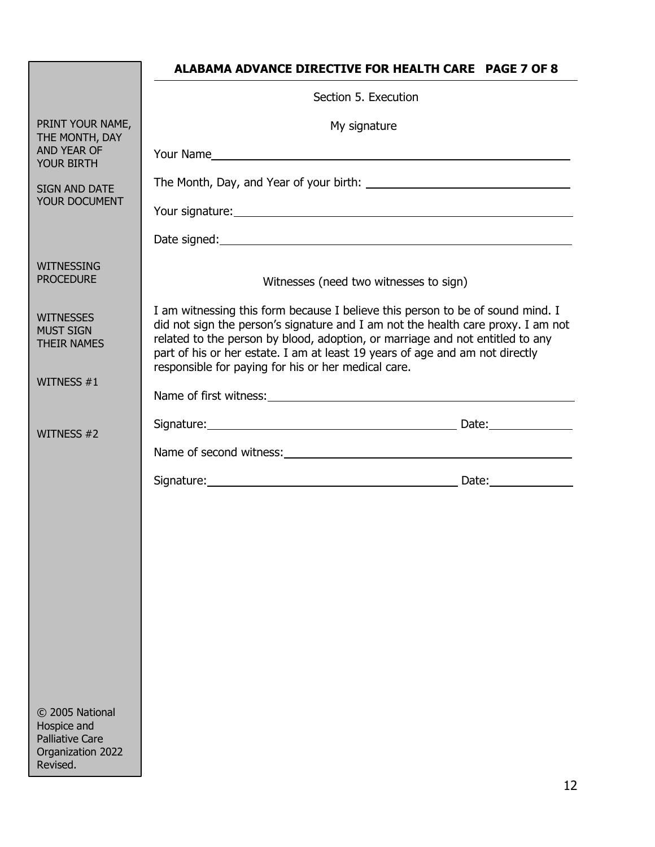|                                                                                           | ALABAMA ADVANCE DIRECTIVE FOR HEALTH CARE PAGE 7 OF 8                                                                                                                                                                                                                                                                                                                                      |  |  |
|-------------------------------------------------------------------------------------------|--------------------------------------------------------------------------------------------------------------------------------------------------------------------------------------------------------------------------------------------------------------------------------------------------------------------------------------------------------------------------------------------|--|--|
|                                                                                           | Section 5. Execution                                                                                                                                                                                                                                                                                                                                                                       |  |  |
| PRINT YOUR NAME,<br>THE MONTH, DAY                                                        | My signature                                                                                                                                                                                                                                                                                                                                                                               |  |  |
| AND YEAR OF<br><b>YOUR BIRTH</b>                                                          | Your Name                                                                                                                                                                                                                                                                                                                                                                                  |  |  |
| <b>SIGN AND DATE</b>                                                                      |                                                                                                                                                                                                                                                                                                                                                                                            |  |  |
| YOUR DOCUMENT                                                                             |                                                                                                                                                                                                                                                                                                                                                                                            |  |  |
|                                                                                           |                                                                                                                                                                                                                                                                                                                                                                                            |  |  |
| WITNESSING<br><b>PROCEDURE</b>                                                            | Witnesses (need two witnesses to sign)                                                                                                                                                                                                                                                                                                                                                     |  |  |
| <b>WITNESSES</b><br><b>MUST SIGN</b><br><b>THEIR NAMES</b>                                | I am witnessing this form because I believe this person to be of sound mind. I<br>did not sign the person's signature and I am not the health care proxy. I am not<br>related to the person by blood, adoption, or marriage and not entitled to any<br>part of his or her estate. I am at least 19 years of age and am not directly<br>responsible for paying for his or her medical care. |  |  |
| WITNESS $#1$                                                                              |                                                                                                                                                                                                                                                                                                                                                                                            |  |  |
|                                                                                           |                                                                                                                                                                                                                                                                                                                                                                                            |  |  |
| WITNESS #2                                                                                | Name of second witness: Name of second witness:                                                                                                                                                                                                                                                                                                                                            |  |  |
|                                                                                           |                                                                                                                                                                                                                                                                                                                                                                                            |  |  |
|                                                                                           |                                                                                                                                                                                                                                                                                                                                                                                            |  |  |
|                                                                                           |                                                                                                                                                                                                                                                                                                                                                                                            |  |  |
|                                                                                           |                                                                                                                                                                                                                                                                                                                                                                                            |  |  |
|                                                                                           |                                                                                                                                                                                                                                                                                                                                                                                            |  |  |
|                                                                                           |                                                                                                                                                                                                                                                                                                                                                                                            |  |  |
|                                                                                           |                                                                                                                                                                                                                                                                                                                                                                                            |  |  |
|                                                                                           |                                                                                                                                                                                                                                                                                                                                                                                            |  |  |
| © 2005 National<br>Hospice and<br><b>Palliative Care</b><br>Organization 2022<br>Revised. |                                                                                                                                                                                                                                                                                                                                                                                            |  |  |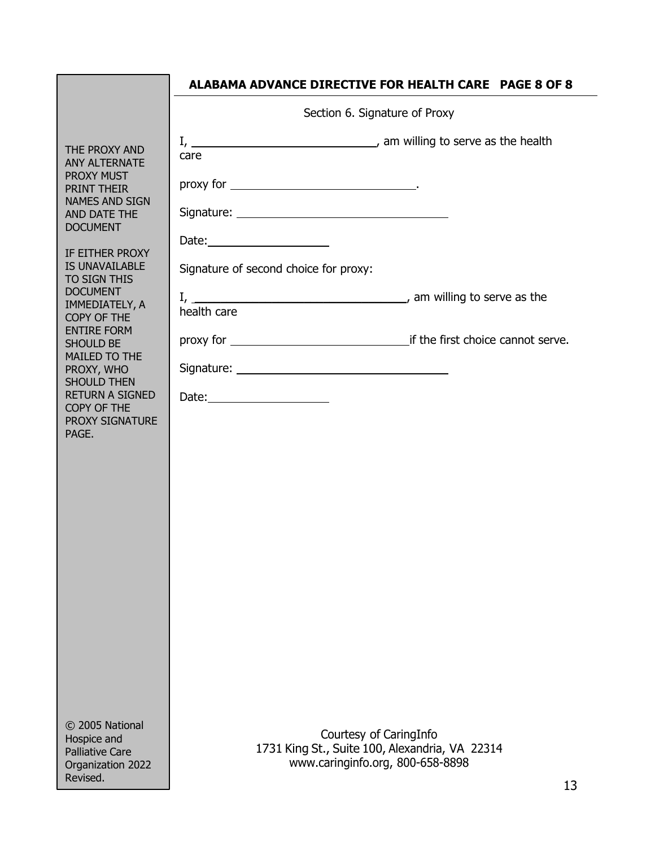|                                                                                                                    | <b>ALABAMA ADVANCE DIRECTIVE FOR HEALTH CARE PAGE 8 OF 8</b>                       |
|--------------------------------------------------------------------------------------------------------------------|------------------------------------------------------------------------------------|
|                                                                                                                    | Section 6. Signature of Proxy                                                      |
| THE PROXY AND<br><b>ANY ALTERNATE</b><br><b>PROXY MUST</b><br><b>PRINT THEIR</b><br><b>NAMES AND SIGN</b>          | care                                                                               |
|                                                                                                                    |                                                                                    |
| AND DATE THE<br><b>DOCUMENT</b>                                                                                    | Date: $\frac{1}{2}$                                                                |
| IF EITHER PROXY<br>IS UNAVAILABLE<br>TO SIGN THIS                                                                  | Signature of second choice for proxy:                                              |
| <b>DOCUMENT</b><br>IMMEDIATELY, A<br>COPY OF THE<br><b>ENTIRE FORM</b><br><b>SHOULD BE</b><br><b>MAILED TO THE</b> | health care                                                                        |
|                                                                                                                    |                                                                                    |
| PROXY, WHO<br><b>SHOULD THEN</b>                                                                                   |                                                                                    |
| <b>RETURN A SIGNED</b><br>COPY OF THE                                                                              | Date: $\frac{1}{2}$                                                                |
| <b>PROXY SIGNATURE</b><br>PAGE.                                                                                    |                                                                                    |
|                                                                                                                    |                                                                                    |
|                                                                                                                    |                                                                                    |
|                                                                                                                    |                                                                                    |
|                                                                                                                    |                                                                                    |
|                                                                                                                    |                                                                                    |
|                                                                                                                    |                                                                                    |
|                                                                                                                    |                                                                                    |
|                                                                                                                    |                                                                                    |
|                                                                                                                    |                                                                                    |
| © 2005 National<br>Hospice and                                                                                     | Courtesy of CaringInfo                                                             |
| <b>Palliative Care</b><br>Organization 2022                                                                        | 1731 King St., Suite 100, Alexandria, VA 22314<br>www.caringinfo.org, 800-658-8898 |
| Revised.                                                                                                           | 13.                                                                                |

13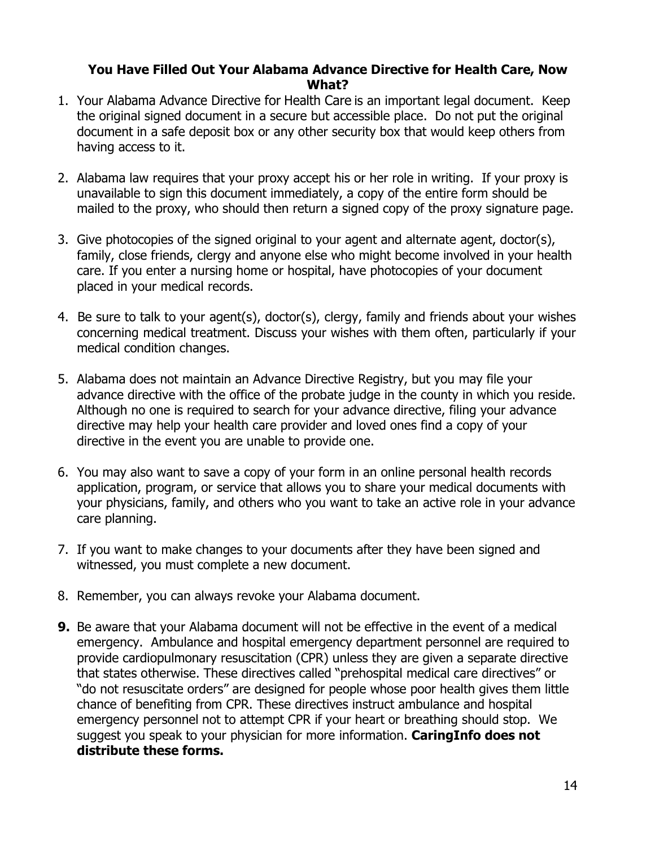#### **You Have Filled Out Your Alabama Advance Directive for Health Care, Now What?**

- 1. Your Alabama Advance Directive for Health Care is an important legal document. Keep the original signed document in a secure but accessible place. Do not put the original document in a safe deposit box or any other security box that would keep others from having access to it.
- 2. Alabama law requires that your proxy accept his or her role in writing. If your proxy is unavailable to sign this document immediately, a copy of the entire form should be mailed to the proxy, who should then return a signed copy of the proxy signature page.
- 3. Give photocopies of the signed original to your agent and alternate agent, doctor(s), family, close friends, clergy and anyone else who might become involved in your health care. If you enter a nursing home or hospital, have photocopies of your document placed in your medical records.
- 4. Be sure to talk to your agent(s), doctor(s), clergy, family and friends about your wishes concerning medical treatment. Discuss your wishes with them often, particularly if your medical condition changes.
- 5. Alabama does not maintain an Advance Directive Registry, but you may file your advance directive with the office of the probate judge in the county in which you reside. Although no one is required to search for your advance directive, filing your advance directive may help your health care provider and loved ones find a copy of your directive in the event you are unable to provide one.
- 6. You may also want to save a copy of your form in an online personal health records application, program, or service that allows you to share your medical documents with your physicians, family, and others who you want to take an active role in your advance care planning.
- 7. If you want to make changes to your documents after they have been signed and witnessed, you must complete a new document.
- 8. Remember, you can always revoke your Alabama document.
- **9.** Be aware that your Alabama document will not be effective in the event of a medical emergency. Ambulance and hospital emergency department personnel are required to provide cardiopulmonary resuscitation (CPR) unless they are given a separate directive that states otherwise. These directives called "prehospital medical care directives" or "do not resuscitate orders" are designed for people whose poor health gives them little chance of benefiting from CPR. These directives instruct ambulance and hospital emergency personnel not to attempt CPR if your heart or breathing should stop. We suggest you speak to your physician for more information. **CaringInfo does not distribute these forms.**